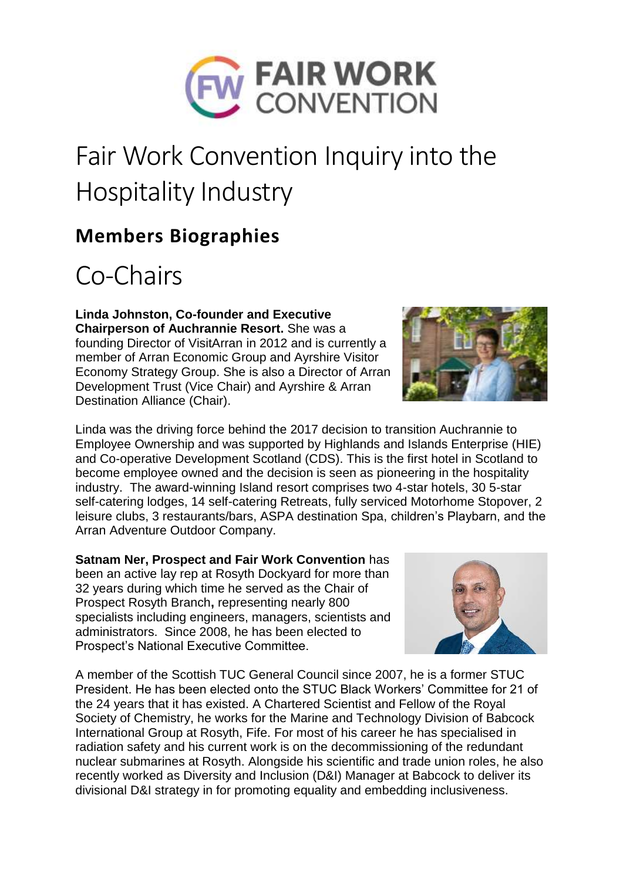

## Fair Work Convention Inquiry into the Hospitality Industry

## **Members Biographies**

## Co-Chairs

**Linda Johnston, Co-founder and Executive Chairperson of Auchrannie Resort.** She was a founding Director of VisitArran in 2012 and is currently a member of Arran Economic Group and Ayrshire Visitor Economy Strategy Group. She is also a Director of Arran Development Trust (Vice Chair) and Ayrshire & Arran Destination Alliance (Chair).



**Satnam Ner, Prospect and Fair Work Convention** has been an active lay rep at Rosyth Dockyard for more than 32 years during which time he served as the Chair of Prospect Rosyth Branch**,** representing nearly 800 specialists including engineers, managers, scientists and administrators. Since 2008, he has been elected to Prospect's National Executive Committee.

A member of the Scottish TUC General Council since 2007, he is a former STUC President. He has been elected onto the STUC Black Workers' Committee for 21 of the 24 years that it has existed. A Chartered Scientist and Fellow of the Royal Society of Chemistry, he works for the Marine and Technology Division of Babcock International Group at Rosyth, Fife. For most of his career he has specialised in radiation safety and his current work is on the decommissioning of the redundant nuclear submarines at Rosyth. Alongside his scientific and trade union roles, he also recently worked as Diversity and Inclusion (D&I) Manager at Babcock to deliver its divisional D&I strategy in for promoting equality and embedding inclusiveness.



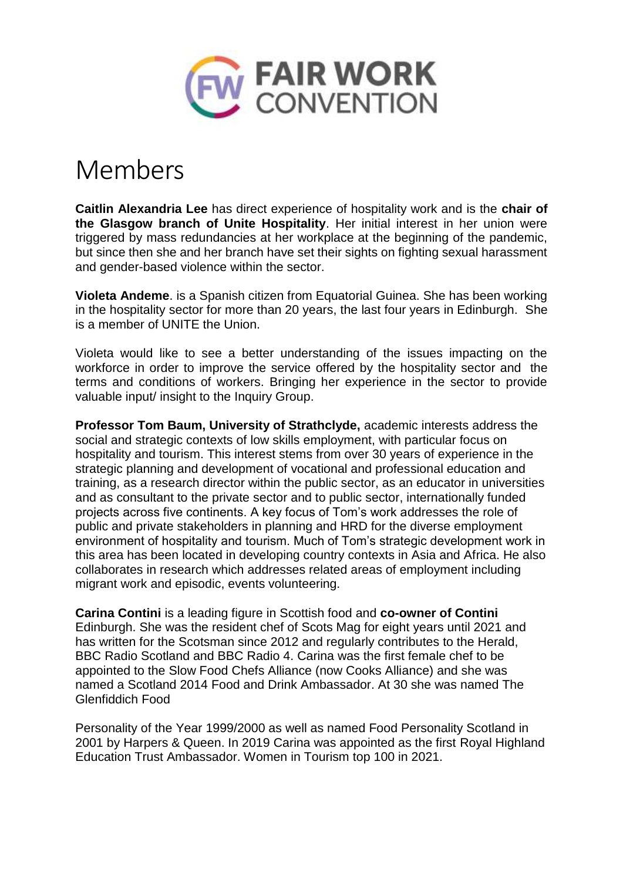

## Members

**Caitlin Alexandria Lee** has direct experience of hospitality work and is the **chair of the Glasgow branch of Unite Hospitality**. Her initial interest in her union were triggered by mass redundancies at her workplace at the beginning of the pandemic, but since then she and her branch have set their sights on fighting sexual harassment and gender-based violence within the sector.

**Violeta Andeme**. is a Spanish citizen from Equatorial Guinea. She has been working in the hospitality sector for more than 20 years, the last four years in Edinburgh. She is a member of UNITE the Union.

Violeta would like to see a better understanding of the issues impacting on the workforce in order to improve the service offered by the hospitality sector and the terms and conditions of workers. Bringing her experience in the sector to provide valuable input/ insight to the Inquiry Group.

**Professor Tom Baum, University of Strathclyde,** academic interests address the social and strategic contexts of low skills employment, with particular focus on hospitality and tourism. This interest stems from over 30 years of experience in the strategic planning and development of vocational and professional education and training, as a research director within the public sector, as an educator in universities and as consultant to the private sector and to public sector, internationally funded projects across five continents. A key focus of Tom's work addresses the role of public and private stakeholders in planning and HRD for the diverse employment environment of hospitality and tourism. Much of Tom's strategic development work in this area has been located in developing country contexts in Asia and Africa. He also collaborates in research which addresses related areas of employment including migrant work and episodic, events volunteering.

**Carina Contini** is a leading figure in Scottish food and **co-owner of Contini** Edinburgh. She was the resident chef of Scots Mag for eight years until 2021 and has written for the Scotsman since 2012 and regularly contributes to the Herald, BBC Radio Scotland and BBC Radio 4. Carina was the first female chef to be appointed to the Slow Food Chefs Alliance (now Cooks Alliance) and she was named a Scotland 2014 Food and Drink Ambassador. At 30 she was named The Glenfiddich Food

Personality of the Year 1999/2000 as well as named Food Personality Scotland in 2001 by Harpers & Queen. In 2019 Carina was appointed as the first Royal Highland Education Trust Ambassador. Women in Tourism top 100 in 2021.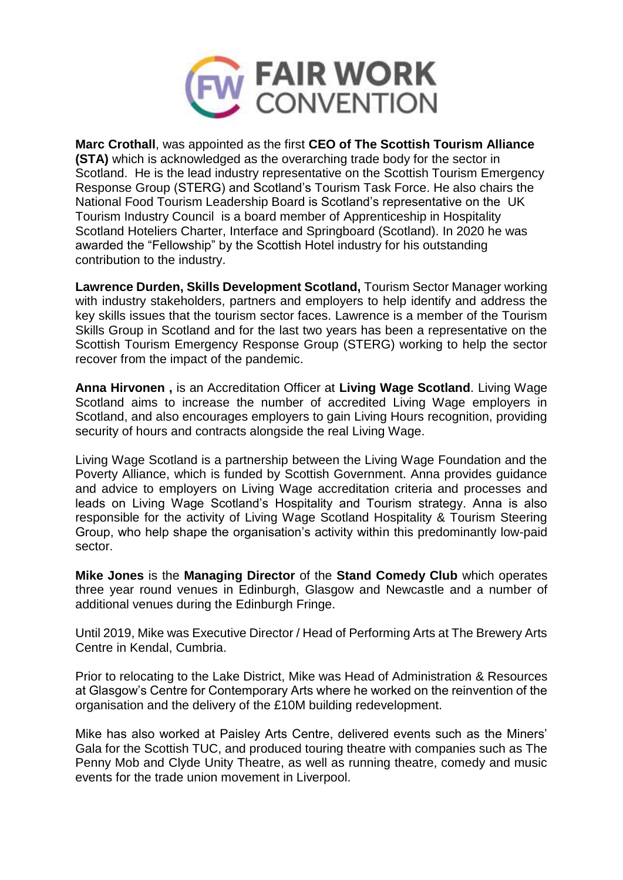

**Marc Crothall**, was appointed as the first **CEO of The Scottish Tourism Alliance (STA)** which is acknowledged as the overarching trade body for the sector in Scotland. He is the lead industry representative on the Scottish Tourism Emergency Response Group (STERG) and Scotland's Tourism Task Force. He also chairs the National Food Tourism Leadership Board is Scotland's representative on the UK Tourism Industry Council is a board member of Apprenticeship in Hospitality Scotland Hoteliers Charter, Interface and Springboard (Scotland). In 2020 he was awarded the "Fellowship" by the Scottish Hotel industry for his outstanding contribution to the industry.

**Lawrence Durden, Skills Development Scotland,** Tourism Sector Manager working with industry stakeholders, partners and employers to help identify and address the key skills issues that the tourism sector faces. Lawrence is a member of the Tourism Skills Group in Scotland and for the last two years has been a representative on the Scottish Tourism Emergency Response Group (STERG) working to help the sector recover from the impact of the pandemic.

**Anna Hirvonen ,** is an Accreditation Officer at **Living Wage Scotland**. Living Wage Scotland aims to increase the number of accredited Living Wage employers in Scotland, and also encourages employers to gain Living Hours recognition, providing security of hours and contracts alongside the real Living Wage.

Living Wage Scotland is a partnership between the Living Wage Foundation and the Poverty Alliance, which is funded by Scottish Government. Anna provides guidance and advice to employers on Living Wage accreditation criteria and processes and leads on Living Wage Scotland's Hospitality and Tourism strategy. Anna is also responsible for the activity of Living Wage Scotland Hospitality & Tourism Steering Group, who help shape the organisation's activity within this predominantly low-paid sector.

**Mike Jones** is the **Managing Director** of the **Stand Comedy Club** which operates three year round venues in Edinburgh, Glasgow and Newcastle and a number of additional venues during the Edinburgh Fringe.

Until 2019, Mike was Executive Director / Head of Performing Arts at The Brewery Arts Centre in Kendal, Cumbria.

Prior to relocating to the Lake District, Mike was Head of Administration & Resources at Glasgow's Centre for Contemporary Arts where he worked on the reinvention of the organisation and the delivery of the £10M building redevelopment.

Mike has also worked at Paisley Arts Centre, delivered events such as the Miners' Gala for the Scottish TUC, and produced touring theatre with companies such as The Penny Mob and Clyde Unity Theatre, as well as running theatre, comedy and music events for the trade union movement in Liverpool.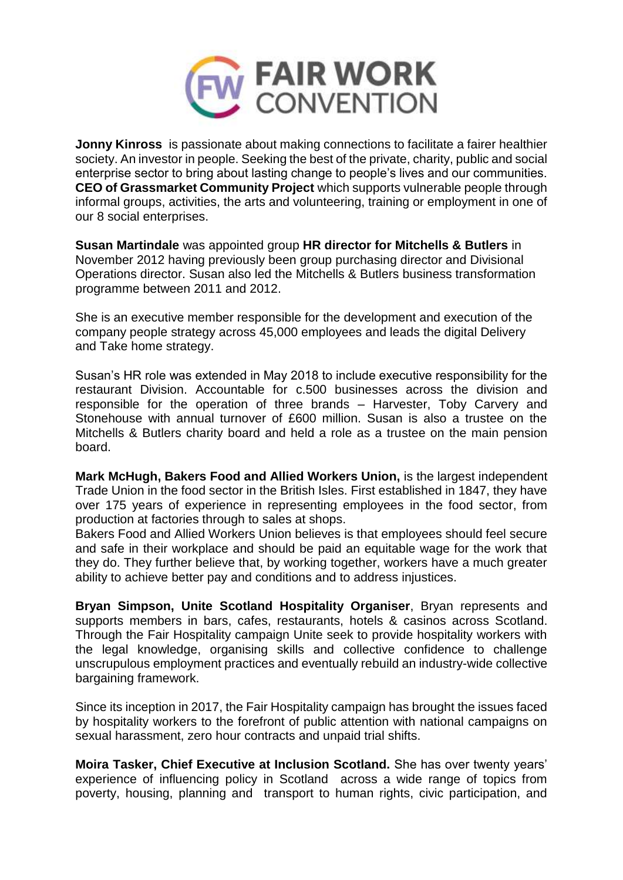

**Jonny Kinross** is passionate about making connections to facilitate a fairer healthier society. An investor in people. Seeking the best of the private, charity, public and social enterprise sector to bring about lasting change to people's lives and our communities. **CEO of Grassmarket Community Project** which supports vulnerable people through informal groups, activities, the arts and volunteering, training or employment in one of our 8 social enterprises.

**Susan Martindale** was appointed group **HR director for Mitchells & Butlers** in November 2012 having previously been group purchasing director and Divisional Operations director. Susan also led the Mitchells & Butlers business transformation programme between 2011 and 2012.

She is an executive member responsible for the development and execution of the company people strategy across 45,000 employees and leads the digital Delivery and Take home strategy.

Susan's HR role was extended in May 2018 to include executive responsibility for the restaurant Division. Accountable for c.500 businesses across the division and responsible for the operation of three brands – Harvester, Toby Carvery and Stonehouse with annual turnover of £600 million. Susan is also a trustee on the Mitchells & Butlers charity board and held a role as a trustee on the main pension board.

**Mark McHugh, Bakers Food and Allied Workers Union,** is the largest independent Trade Union in the food sector in the British Isles. First established in 1847, they have over 175 years of experience in representing employees in the food sector, from production at factories through to sales at shops.

Bakers Food and Allied Workers Union believes is that employees should feel secure and safe in their workplace and should be paid an equitable wage for the work that they do. They further believe that, by working together, workers have a much greater ability to achieve better pay and conditions and to address injustices.

**Bryan Simpson, Unite Scotland Hospitality Organiser**, Bryan represents and supports members in bars, cafes, restaurants, hotels & casinos across Scotland. Through the Fair Hospitality campaign Unite seek to provide hospitality workers with the legal knowledge, organising skills and collective confidence to challenge unscrupulous employment practices and eventually rebuild an industry-wide collective bargaining framework.

Since its inception in 2017, the Fair Hospitality campaign has brought the issues faced by hospitality workers to the forefront of public attention with national campaigns on sexual harassment, zero hour contracts and unpaid trial shifts.

**Moira Tasker, Chief Executive at Inclusion Scotland.** She has over twenty years' experience of influencing policy in Scotland across a wide range of topics from poverty, housing, planning and transport to human rights, civic participation, and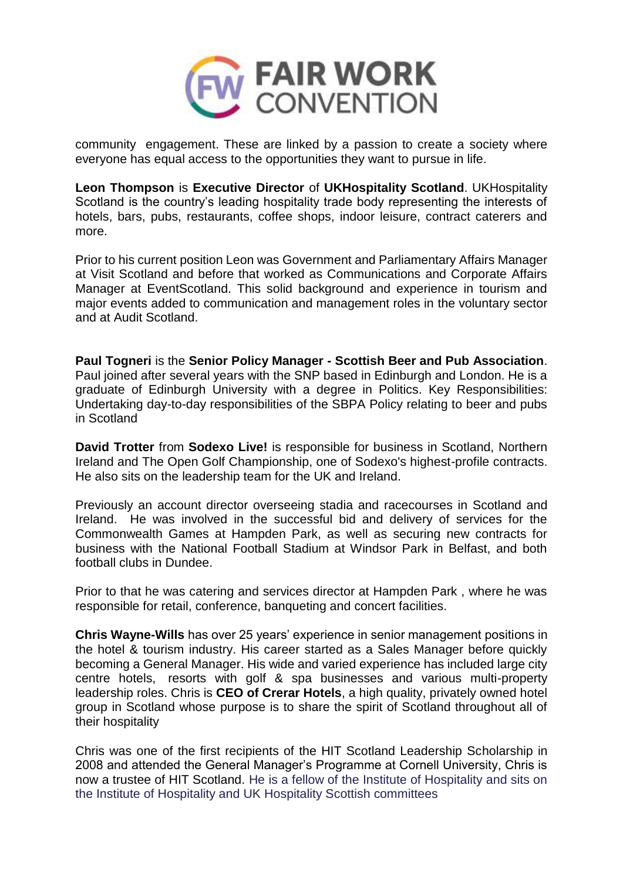

community engagement. These are linked by a passion to create a society where everyone has equal access to the opportunities they want to pursue in life.

**Leon Thompson** is **Executive Director** of **UKHospitality Scotland**. UKHospitality Scotland is the country's leading hospitality trade body representing the interests of hotels, bars, pubs, restaurants, coffee shops, indoor leisure, contract caterers and more.

Prior to his current position Leon was Government and Parliamentary Affairs Manager at Visit Scotland and before that worked as Communications and Corporate Affairs Manager at EventScotland. This solid background and experience in tourism and major events added to communication and management roles in the voluntary sector and at Audit Scotland.

**Paul Togneri** is the **Senior Policy Manager - Scottish Beer and Pub Association**. Paul joined after several years with the SNP based in Edinburgh and London. He is a graduate of Edinburgh University with a degree in Politics. Key Responsibilities: Undertaking day-to-day responsibilities of the SBPA Policy relating to beer and pubs in Scotland

**David Trotter** from **Sodexo Live!** is responsible for business in Scotland, Northern Ireland and The Open Golf Championship, one of Sodexo's highest-profile contracts. He also sits on the leadership team for the UK and Ireland.

Previously an account director overseeing stadia and racecourses in Scotland and Ireland. He was involved in the successful bid and delivery of services for the Commonwealth Games at Hampden Park, as well as securing new contracts for business with the National Football Stadium at Windsor Park in Belfast, and both football clubs in Dundee.

Prior to that he was catering and services director at Hampden Park , where he was responsible for retail, conference, banqueting and concert facilities.

**Chris Wayne-Wills** has over 25 years' experience in senior management positions in the hotel & tourism industry. His career started as a Sales Manager before quickly becoming a General Manager. His wide and varied experience has included large city centre hotels, resorts with golf & spa businesses and various multi-property leadership roles. Chris is **CEO of Crerar Hotels**, a high quality, privately owned hotel group in Scotland whose purpose is to share the spirit of Scotland throughout all of their hospitality

Chris was one of the first recipients of the HIT Scotland Leadership Scholarship in 2008 and attended the General Manager's Programme at Cornell University, Chris is now a trustee of HIT Scotland. He is a fellow of the Institute of Hospitality and sits on the Institute of Hospitality and UK Hospitality Scottish committees